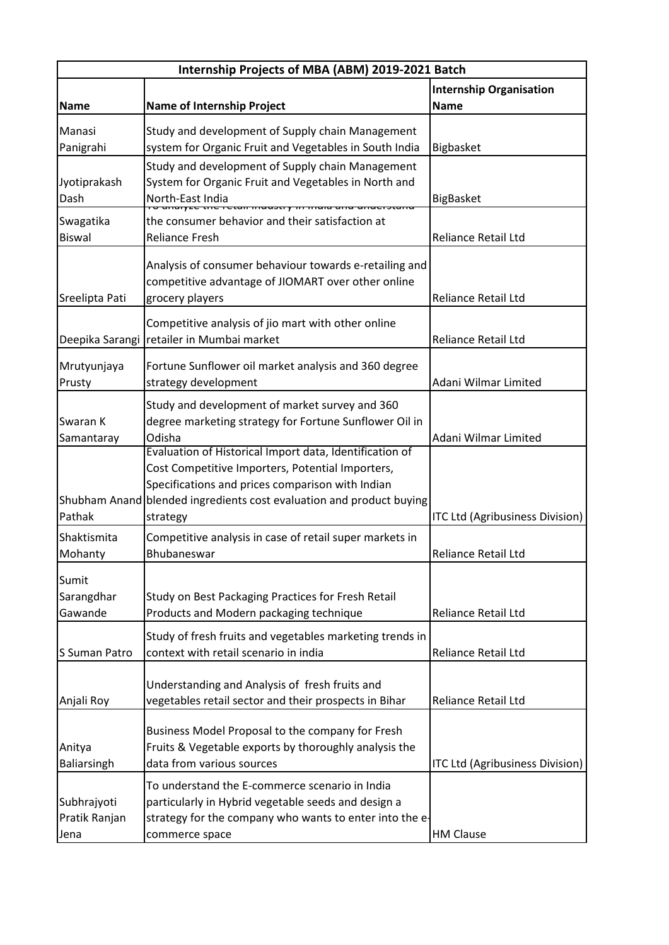| Internship Projects of MBA (ABM) 2019-2021 Batch |                                                                                                             |                                 |
|--------------------------------------------------|-------------------------------------------------------------------------------------------------------------|---------------------------------|
|                                                  |                                                                                                             | <b>Internship Organisation</b>  |
| <b>Name</b>                                      | <b>Name of Internship Project</b>                                                                           | <b>Name</b>                     |
| Manasi                                           | Study and development of Supply chain Management                                                            |                                 |
| Panigrahi                                        | system for Organic Fruit and Vegetables in South India                                                      | Bigbasket                       |
|                                                  | Study and development of Supply chain Management                                                            |                                 |
| Jyotiprakash                                     | System for Organic Fruit and Vegetables in North and                                                        |                                 |
| Dash                                             | North-East India                                                                                            | BigBasket                       |
| Swagatika                                        | <del>maasay in mara ano</del><br>the consumer behavior and their satisfaction at                            |                                 |
| <b>Biswal</b>                                    | <b>Reliance Fresh</b>                                                                                       | <b>Reliance Retail Ltd</b>      |
|                                                  |                                                                                                             |                                 |
|                                                  | Analysis of consumer behaviour towards e-retailing and                                                      |                                 |
|                                                  | competitive advantage of JIOMART over other online                                                          |                                 |
| Sreelipta Pati                                   | grocery players                                                                                             | <b>Reliance Retail Ltd</b>      |
|                                                  | Competitive analysis of jio mart with other online                                                          |                                 |
| Deepika Sarangi                                  | retailer in Mumbai market                                                                                   | <b>Reliance Retail Ltd</b>      |
|                                                  |                                                                                                             |                                 |
| Mrutyunjaya                                      | Fortune Sunflower oil market analysis and 360 degree                                                        |                                 |
| Prusty                                           | strategy development                                                                                        | Adani Wilmar Limited            |
|                                                  | Study and development of market survey and 360                                                              |                                 |
| Swaran K                                         | degree marketing strategy for Fortune Sunflower Oil in                                                      |                                 |
| Samantaray                                       | Odisha                                                                                                      | Adani Wilmar Limited            |
|                                                  | Evaluation of Historical Import data, Identification of<br>Cost Competitive Importers, Potential Importers, |                                 |
|                                                  | Specifications and prices comparison with Indian                                                            |                                 |
|                                                  | Shubham Anand blended ingredients cost evaluation and product buying                                        |                                 |
| Pathak                                           | strategy                                                                                                    | ITC Ltd (Agribusiness Division) |
| Shaktismita                                      | Competitive analysis in case of retail super markets in                                                     |                                 |
| Mohanty                                          | Bhubaneswar                                                                                                 | <b>Reliance Retail Ltd</b>      |
|                                                  |                                                                                                             |                                 |
| Sumit                                            |                                                                                                             |                                 |
| Sarangdhar                                       | Study on Best Packaging Practices for Fresh Retail                                                          |                                 |
| Gawande                                          | Products and Modern packaging technique                                                                     | <b>Reliance Retail Ltd</b>      |
|                                                  | Study of fresh fruits and vegetables marketing trends in                                                    |                                 |
| S Suman Patro                                    | context with retail scenario in india                                                                       | <b>Reliance Retail Ltd</b>      |
|                                                  |                                                                                                             |                                 |
|                                                  | Understanding and Analysis of fresh fruits and                                                              |                                 |
| Anjali Roy                                       | vegetables retail sector and their prospects in Bihar                                                       | <b>Reliance Retail Ltd</b>      |
|                                                  | Business Model Proposal to the company for Fresh                                                            |                                 |
| Anitya                                           | Fruits & Vegetable exports by thoroughly analysis the                                                       |                                 |
| Baliarsingh                                      | data from various sources                                                                                   | ITC Ltd (Agribusiness Division) |
|                                                  | To understand the E-commerce scenario in India                                                              |                                 |
| Subhrajyoti                                      | particularly in Hybrid vegetable seeds and design a                                                         |                                 |
| Pratik Ranjan                                    | strategy for the company who wants to enter into the e-                                                     |                                 |
| Jena                                             | commerce space                                                                                              | <b>HM Clause</b>                |